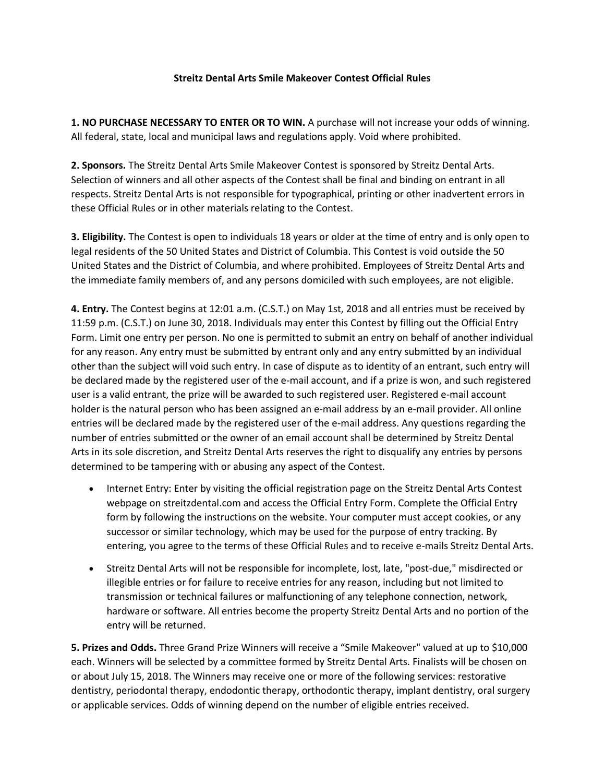## **Streitz Dental Arts Smile Makeover Contest Official Rules**

**1. NO PURCHASE NECESSARY TO ENTER OR TO WIN.** A purchase will not increase your odds of winning. All federal, state, local and municipal laws and regulations apply. Void where prohibited.

**2. Sponsors.** The Streitz Dental Arts Smile Makeover Contest is sponsored by Streitz Dental Arts. Selection of winners and all other aspects of the Contest shall be final and binding on entrant in all respects. Streitz Dental Arts is not responsible for typographical, printing or other inadvertent errors in these Official Rules or in other materials relating to the Contest.

**3. Eligibility.** The Contest is open to individuals 18 years or older at the time of entry and is only open to legal residents of the 50 United States and District of Columbia. This Contest is void outside the 50 United States and the District of Columbia, and where prohibited. Employees of Streitz Dental Arts and the immediate family members of, and any persons domiciled with such employees, are not eligible.

**4. Entry.** The Contest begins at 12:01 a.m. (C.S.T.) on May 1st, 2018 and all entries must be received by 11:59 p.m. (C.S.T.) on June 30, 2018. Individuals may enter this Contest by filling out the Official Entry Form. Limit one entry per person. No one is permitted to submit an entry on behalf of another individual for any reason. Any entry must be submitted by entrant only and any entry submitted by an individual other than the subject will void such entry. In case of dispute as to identity of an entrant, such entry will be declared made by the registered user of the e-mail account, and if a prize is won, and such registered user is a valid entrant, the prize will be awarded to such registered user. Registered e-mail account holder is the natural person who has been assigned an e-mail address by an e-mail provider. All online entries will be declared made by the registered user of the e-mail address. Any questions regarding the number of entries submitted or the owner of an email account shall be determined by Streitz Dental Arts in its sole discretion, and Streitz Dental Arts reserves the right to disqualify any entries by persons determined to be tampering with or abusing any aspect of the Contest.

- Internet Entry: Enter by visiting the official registration page on the Streitz Dental Arts Contest webpage on streitzdental.com and access the Official Entry Form. Complete the Official Entry form by following the instructions on the website. Your computer must accept cookies, or any successor or similar technology, which may be used for the purpose of entry tracking. By entering, you agree to the terms of these Official Rules and to receive e-mails Streitz Dental Arts.
- Streitz Dental Arts will not be responsible for incomplete, lost, late, "post-due," misdirected or illegible entries or for failure to receive entries for any reason, including but not limited to transmission or technical failures or malfunctioning of any telephone connection, network, hardware or software. All entries become the property Streitz Dental Arts and no portion of the entry will be returned.

**5. Prizes and Odds.** Three Grand Prize Winners will receive a "Smile Makeover" valued at up to \$10,000 each. Winners will be selected by a committee formed by Streitz Dental Arts. Finalists will be chosen on or about July 15, 2018. The Winners may receive one or more of the following services: restorative dentistry, periodontal therapy, endodontic therapy, orthodontic therapy, implant dentistry, oral surgery or applicable services. Odds of winning depend on the number of eligible entries received.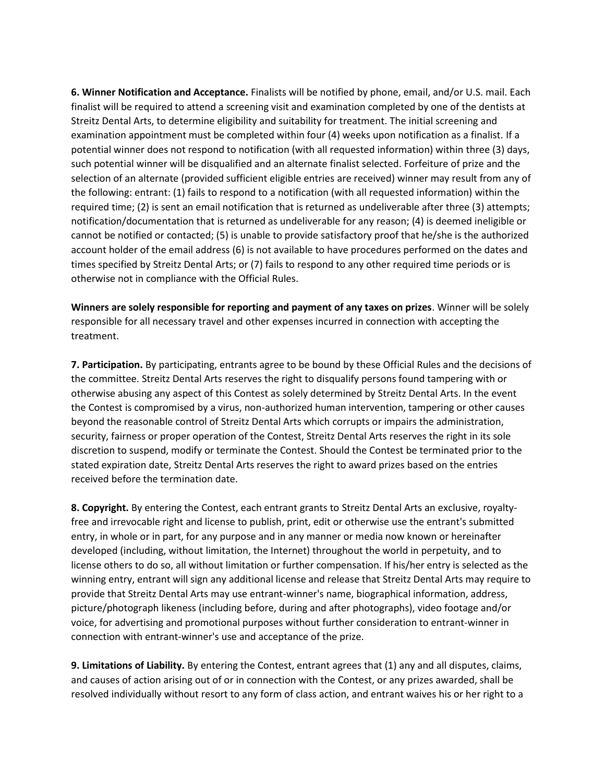**6. Winner Notification and Acceptance.** Finalists will be notified by phone, email, and/or U.S. mail. Each finalist will be required to attend a screening visit and examination completed by one of the dentists at Streitz Dental Arts, to determine eligibility and suitability for treatment. The initial screening and examination appointment must be completed within four (4) weeks upon notification as a finalist. If a potential winner does not respond to notification (with all requested information) within three (3) days, such potential winner will be disqualified and an alternate finalist selected. Forfeiture of prize and the selection of an alternate (provided sufficient eligible entries are received) winner may result from any of the following: entrant: (1) fails to respond to a notification (with all requested information) within the required time; (2) is sent an email notification that is returned as undeliverable after three (3) attempts; notification/documentation that is returned as undeliverable for any reason; (4) is deemed ineligible or cannot be notified or contacted; (5) is unable to provide satisfactory proof that he/she is the authorized account holder of the email address (6) is not available to have procedures performed on the dates and times specified by Streitz Dental Arts; or (7) fails to respond to any other required time periods or is otherwise not in compliance with the Official Rules.

**Winners are solely responsible for reporting and payment of any taxes on prizes**. Winner will be solely responsible for all necessary travel and other expenses incurred in connection with accepting the treatment.

**7. Participation.** By participating, entrants agree to be bound by these Official Rules and the decisions of the committee. Streitz Dental Arts reserves the right to disqualify persons found tampering with or otherwise abusing any aspect of this Contest as solely determined by Streitz Dental Arts. In the event the Contest is compromised by a virus, non-authorized human intervention, tampering or other causes beyond the reasonable control of Streitz Dental Arts which corrupts or impairs the administration, security, fairness or proper operation of the Contest, Streitz Dental Arts reserves the right in its sole discretion to suspend, modify or terminate the Contest. Should the Contest be terminated prior to the stated expiration date, Streitz Dental Arts reserves the right to award prizes based on the entries received before the termination date.

**8. Copyright.** By entering the Contest, each entrant grants to Streitz Dental Arts an exclusive, royaltyfree and irrevocable right and license to publish, print, edit or otherwise use the entrant's submitted entry, in whole or in part, for any purpose and in any manner or media now known or hereinafter developed (including, without limitation, the Internet) throughout the world in perpetuity, and to license others to do so, all without limitation or further compensation. If his/her entry is selected as the winning entry, entrant will sign any additional license and release that Streitz Dental Arts may require to provide that Streitz Dental Arts may use entrant-winner's name, biographical information, address, picture/photograph likeness (including before, during and after photographs), video footage and/or voice, for advertising and promotional purposes without further consideration to entrant-winner in connection with entrant-winner's use and acceptance of the prize.

**9. Limitations of Liability.** By entering the Contest, entrant agrees that (1) any and all disputes, claims, and causes of action arising out of or in connection with the Contest, or any prizes awarded, shall be resolved individually without resort to any form of class action, and entrant waives his or her right to a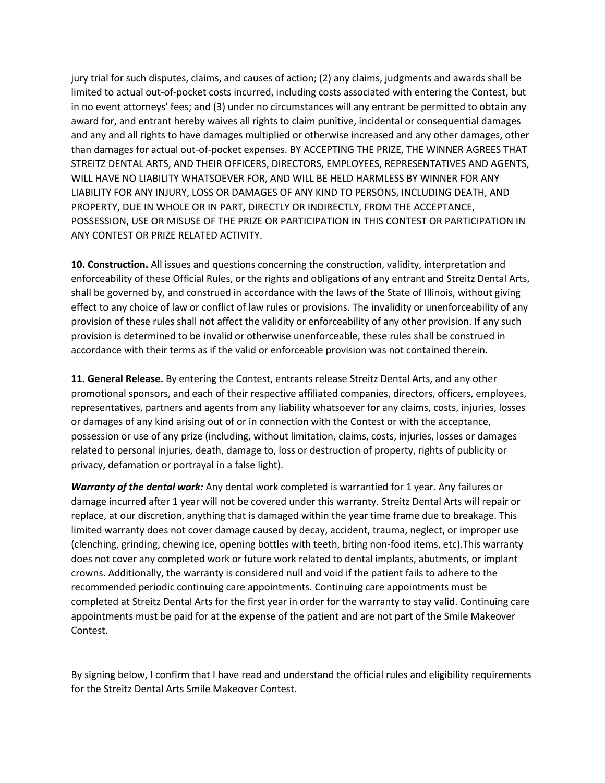jury trial for such disputes, claims, and causes of action; (2) any claims, judgments and awards shall be limited to actual out-of-pocket costs incurred, including costs associated with entering the Contest, but in no event attorneys' fees; and (3) under no circumstances will any entrant be permitted to obtain any award for, and entrant hereby waives all rights to claim punitive, incidental or consequential damages and any and all rights to have damages multiplied or otherwise increased and any other damages, other than damages for actual out-of-pocket expenses. BY ACCEPTING THE PRIZE, THE WINNER AGREES THAT STREITZ DENTAL ARTS, AND THEIR OFFICERS, DIRECTORS, EMPLOYEES, REPRESENTATIVES AND AGENTS, WILL HAVE NO LIABILITY WHATSOEVER FOR, AND WILL BE HELD HARMLESS BY WINNER FOR ANY LIABILITY FOR ANY INJURY, LOSS OR DAMAGES OF ANY KIND TO PERSONS, INCLUDING DEATH, AND PROPERTY, DUE IN WHOLE OR IN PART, DIRECTLY OR INDIRECTLY, FROM THE ACCEPTANCE, POSSESSION, USE OR MISUSE OF THE PRIZE OR PARTICIPATION IN THIS CONTEST OR PARTICIPATION IN ANY CONTEST OR PRIZE RELATED ACTIVITY.

**10. Construction.** All issues and questions concerning the construction, validity, interpretation and enforceability of these Official Rules, or the rights and obligations of any entrant and Streitz Dental Arts, shall be governed by, and construed in accordance with the laws of the State of Illinois, without giving effect to any choice of law or conflict of law rules or provisions. The invalidity or unenforceability of any provision of these rules shall not affect the validity or enforceability of any other provision. If any such provision is determined to be invalid or otherwise unenforceable, these rules shall be construed in accordance with their terms as if the valid or enforceable provision was not contained therein.

**11. General Release.** By entering the Contest, entrants release Streitz Dental Arts, and any other promotional sponsors, and each of their respective affiliated companies, directors, officers, employees, representatives, partners and agents from any liability whatsoever for any claims, costs, injuries, losses or damages of any kind arising out of or in connection with the Contest or with the acceptance, possession or use of any prize (including, without limitation, claims, costs, injuries, losses or damages related to personal injuries, death, damage to, loss or destruction of property, rights of publicity or privacy, defamation or portrayal in a false light).

*Warranty of the dental work:* Any dental work completed is warrantied for 1 year. Any failures or damage incurred after 1 year will not be covered under this warranty. Streitz Dental Arts will repair or replace, at our discretion, anything that is damaged within the year time frame due to breakage. This limited warranty does not cover damage caused by decay, accident, trauma, neglect, or improper use (clenching, grinding, chewing ice, opening bottles with teeth, biting non-food items, etc).This warranty does not cover any completed work or future work related to dental implants, abutments, or implant crowns. Additionally, the warranty is considered null and void if the patient fails to adhere to the recommended periodic continuing care appointments. Continuing care appointments must be completed at Streitz Dental Arts for the first year in order for the warranty to stay valid. Continuing care appointments must be paid for at the expense of the patient and are not part of the Smile Makeover Contest.

By signing below, I confirm that I have read and understand the official rules and eligibility requirements for the Streitz Dental Arts Smile Makeover Contest.